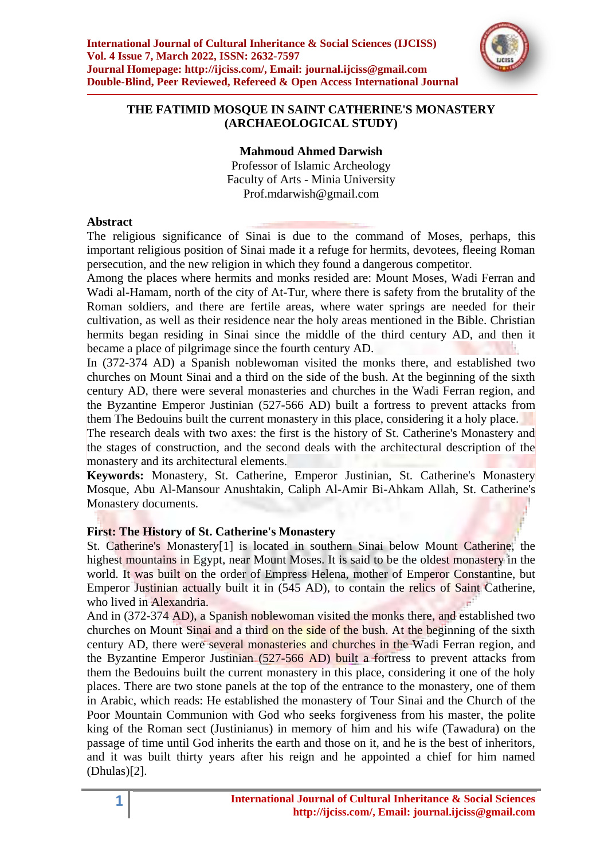

# **THE FATIMID MOSQUE IN SAINT CATHERINE'S MONASTERY (ARCHAEOLOGICAL STUDY)**

**Mahmoud Ahmed Darwish**

Professor of Islamic Archeology Faculty of Arts - Minia University Prof.mdarwish@gmail.com

### **Abstract**

The religious significance of Sinai is due to the command of Moses, perhaps, this important religious position of Sinai made it a refuge for hermits, devotees, fleeing Roman persecution, and the new religion in which they found a dangerous competitor.

Among the places where hermits and monks resided are: Mount Moses, Wadi Ferran and Wadi al-Hamam, north of the city of At-Tur, where there is safety from the brutality of the Roman soldiers, and there are fertile areas, where water springs are needed for their cultivation, as well as their residence near the holy areas mentioned in the Bible. Christian hermits began residing in Sinai since the middle of the third century AD, and then it became a place of pilgrimage since the fourth century AD.

In (372-374 AD) a Spanish noblewoman visited the monks there, and established two churches on Mount Sinai and a third on the side of the bush. At the beginning of the sixth century AD, there were several monasteries and churches in the Wadi Ferran region, and the Byzantine Emperor Justinian (527-566 AD) built a fortress to prevent attacks from them The Bedouins built the current monastery in this place, considering it a holy place.

The research deals with two axes: the first is the history of St. Catherine's Monastery and the stages of construction, and the second deals with the architectural description of the monastery and its architectural elements.

**Keywords:** Monastery, St. Catherine, Emperor Justinian, St. Catherine's Monastery Mosque, Abu Al-Mansour Anushtakin, Caliph Al-Amir Bi-Ahkam Allah, St. Catherine's Monastery documents.

# **First: The History of St. Catherine's Monastery**

St. Catherine's Monastery[1] is located in southern Sinai below Mount Catherine, the highest mountains in Egypt, near Mount Moses. It is said to be the oldest monastery in the world. It was built on the order of Empress Helena, mother of Emperor Constantine, but Emperor Justinian actually built it in (545 AD), to contain the relics of Saint Catherine, who lived in Alexandria.

And in (372-374 AD), a Spanish noblewoman visited the monks there, and established two churches on Mount Sinai and a third on the side of the bush. At the beginning of the sixth century AD, there were several monasteries and churches in the Wadi Ferran region, and the Byzantine Emperor Justinian (527-566 AD) built a fortress to prevent attacks from them the Bedouins built the current monastery in this place, considering it one of the holy places. There are two stone panels at the top of the entrance to the monastery, one of them in Arabic, which reads: He established the monastery of Tour Sinai and the Church of the Poor Mountain Communion with God who seeks forgiveness from his master, the polite king of the Roman sect (Justinianus) in memory of him and his wife (Tawadura) on the passage of time until God inherits the earth and those on it, and he is the best of inheritors, and it was built thirty years after his reign and he appointed a chief for him named (Dhulas)[2].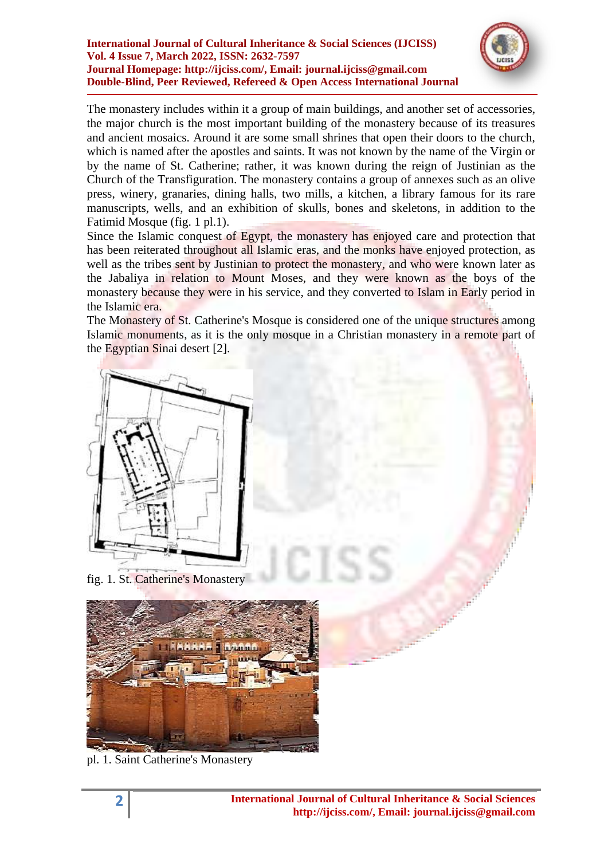

The monastery includes within it a group of main buildings, and another set of accessories, the major church is the most important building of the monastery because of its treasures and ancient mosaics. Around it are some small shrines that open their doors to the church, which is named after the apostles and saints. It was not known by the name of the Virgin or by the name of St. Catherine; rather, it was known during the reign of Justinian as the Church of the Transfiguration. The monastery contains a group of annexes such as an olive press, winery, granaries, dining halls, two mills, a kitchen, a library famous for its rare manuscripts, wells, and an exhibition of skulls, bones and skeletons, in addition to the Fatimid Mosque (fig. 1 pl.1).

Since the Islamic conquest of Egypt, the monastery has enjoyed care and protection that has been reiterated throughout all Islamic eras, and the monks have enjoyed protection, as well as the tribes sent by Justinian to protect the monastery, and who were known later as the Jabaliya in relation to Mount Moses, and they were known as the boys of the monastery because they were in his service, and they converted to Islam in Early period in the Islamic era.

The Monastery of St. Catherine's Mosque is considered one of the unique structures among Islamic monuments, as it is the only mosque in a Christian monastery in a remote part of the Egyptian Sinai desert [2].



fig. 1. St. Catherine's Monastery



pl. 1. Saint Catherine's Monastery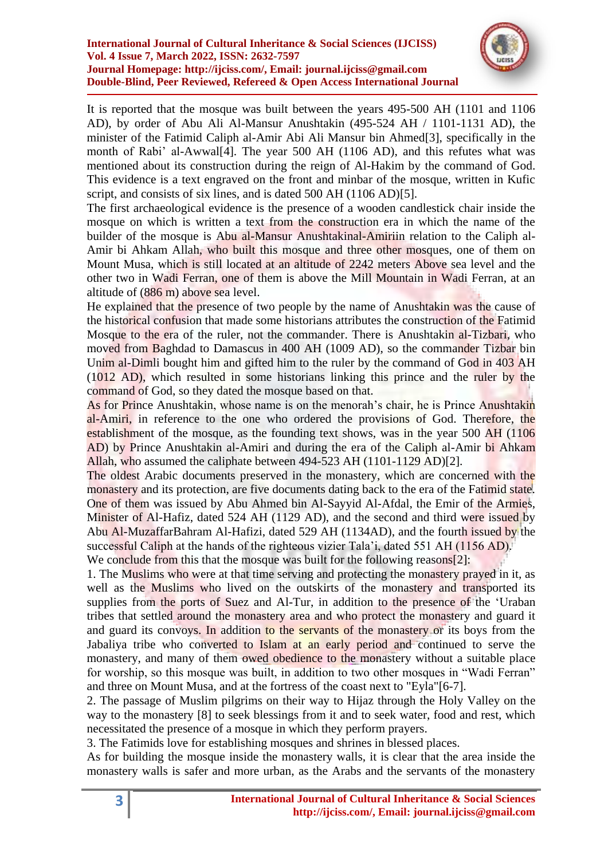

It is reported that the mosque was built between the years 495-500 AH (1101 and 1106 AD), by order of Abu Ali Al-Mansur Anushtakin (495-524 AH / 1101-1131 AD), the minister of the Fatimid Caliph al-Amir Abi Ali Mansur bin Ahmed[3], specifically in the month of Rabi' al-Awwal<sup>[4]</sup>. The year 500 AH (1106 AD), and this refutes what was mentioned about its construction during the reign of Al-Hakim by the command of God. This evidence is a text engraved on the front and minbar of the mosque, written in Kufic script, and consists of six lines, and is dated 500 AH (1106 AD)[5].

The first archaeological evidence is the presence of a wooden candlestick chair inside the mosque on which is written a text from the construction era in which the name of the builder of the mosque is Abu al-Mansur Anushtakinal-Amiriin relation to the Caliph al-Amir bi Ahkam Allah, who built this mosque and three other mosques, one of them on Mount Musa, which is still located at an altitude of 2242 meters Above sea level and the other two in Wadi Ferran, one of them is above the Mill Mountain in Wadi Ferran, at an altitude of (886 m) above sea level.

He explained that the presence of two people by the name of Anushtakin was the cause of the historical confusion that made some historians attributes the construction of the Fatimid Mosque to the era of the ruler, not the commander. There is Anushtakin al-Tizbari, who moved from Baghdad to Damascus in 400 AH (1009 AD), so the commander Tizbar bin Unim al-Dimli bought him and gifted him to the ruler by the command of God in 403 AH (1012 AD), which resulted in some historians linking this prince and the ruler by the command of God, so they dated the mosque based on that.

As for Prince Anushtakin, whose name is on the menorah"s chair, he is Prince Anushtakin al-Amiri, in reference to the one who ordered the provisions of God. Therefore, the establishment of the mosque, as the founding text shows, was in the year 500 AH (1106) AD) by Prince Anushtakin al-Amiri and during the era of the Caliph al-Amir bi Ahkam Allah, who assumed the caliphate between 494-523 AH (1101-1129 AD)[2].

The oldest Arabic documents preserved in the monastery, which are concerned with the monastery and its protection, are five documents dating back to the era of the Fatimid state. One of them was issued by Abu Ahmed bin Al-Sayyid Al-Afdal, the Emir of the Armies, Minister of Al-Hafiz, dated 524 AH (1129 AD), and the second and third were issued by Abu Al-MuzaffarBahram Al-Hafizi, dated 529 AH (1134AD), and the fourth issued by the successful Caliph at the hands of the righteous vizier Tala"i, dated 551 AH (1156 AD).

We conclude from this that the mosque was built for the following reasons[2]:

1. The Muslims who were at that time serving and protecting the monastery prayed in it, as well as the Muslims who lived on the outskirts of the monastery and transported its supplies from the ports of Suez and Al-Tur, in addition to the presence of the 'Uraban tribes that settled around the monastery area and who protect the monastery and guard it and guard its convoys. In addition to the servants of the monastery or its boys from the Jabaliya tribe who converted to Islam at an early period and continued to serve the monastery, and many of them owed obedience to the monastery without a suitable place for worship, so this mosque was built, in addition to two other mosques in "Wadi Ferran" and three on Mount Musa, and at the fortress of the coast next to "Eyla"[6-7].

2. The passage of Muslim pilgrims on their way to Hijaz through the Holy Valley on the way to the monastery [8] to seek blessings from it and to seek water, food and rest, which necessitated the presence of a mosque in which they perform prayers.

3. The Fatimids love for establishing mosques and shrines in blessed places.

As for building the mosque inside the monastery walls, it is clear that the area inside the monastery walls is safer and more urban, as the Arabs and the servants of the monastery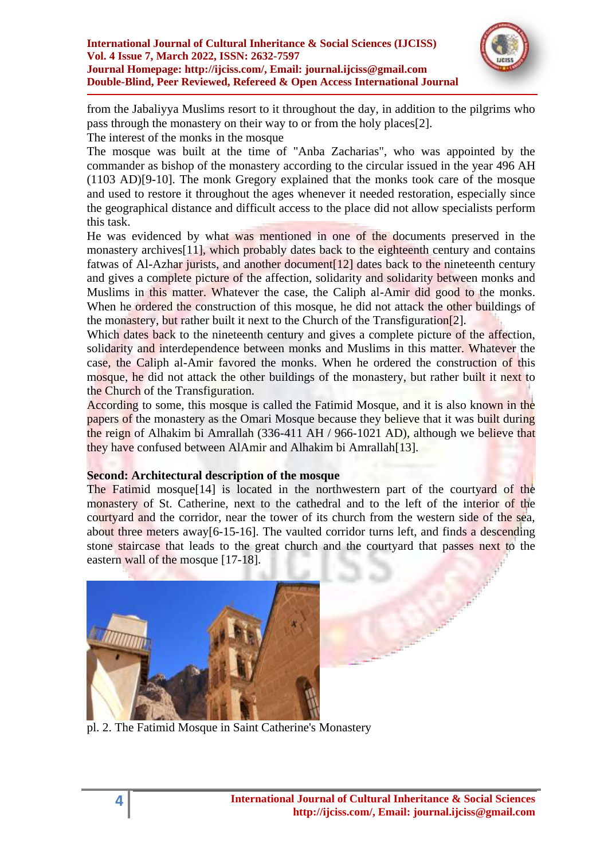

from the Jabaliyya Muslims resort to it throughout the day, in addition to the pilgrims who pass through the monastery on their way to or from the holy places[2]. The interest of the monks in the mosque

The mosque was built at the time of "Anba Zacharias", who was appointed by the commander as bishop of the monastery according to the circular issued in the year 496 AH (1103 AD)[9-10]. The monk Gregory explained that the monks took care of the mosque and used to restore it throughout the ages whenever it needed restoration, especially since the geographical distance and difficult access to the place did not allow specialists perform this task.

He was evidenced by what was mentioned in one of the documents preserved in the monastery archives<sup>[11]</sup>, which probably dates back to the eighteenth century and contains fatwas of Al-Azhar jurists, and another document<sup>[12]</sup> dates back to the nineteenth century and gives a complete picture of the affection, solidarity and solidarity between monks and Muslims in this matter. Whatever the case, the Caliph al-Amir did good to the monks. When he ordered the construction of this mosque, he did not attack the other buildings of the monastery, but rather built it next to the Church of the Transfiguration[2].

Which dates back to the nineteenth century and gives a complete picture of the affection, solidarity and interdependence between monks and Muslims in this matter. Whatever the case, the Caliph al-Amir favored the monks. When he ordered the construction of this mosque, he did not attack the other buildings of the monastery, but rather built it next to the Church of the Transfiguration.

According to some, this mosque is called the Fatimid Mosque, and it is also known in the papers of the monastery as the Omari Mosque because they believe that it was built during the reign of Alhakim bi Amrallah (336-411 AH / 966-1021 AD), although we believe that they have confused between AlAmir and Alhakim bi Amrallah[13].

### **Second: Architectural description of the mosque**

The Fatimid mosque<sup>[14]</sup> is located in the northwestern part of the courtyard of the monastery of St. Catherine, next to the cathedral and to the left of the interior of the courtyard and the corridor, near the tower of its church from the western side of the sea, about three meters away[6-15-16]. The vaulted corridor turns left, and finds a descending stone staircase that leads to the great church and the courtyard that passes next to the eastern wall of the mosque [17-18].



pl. 2. The Fatimid Mosque in Saint Catherine's Monastery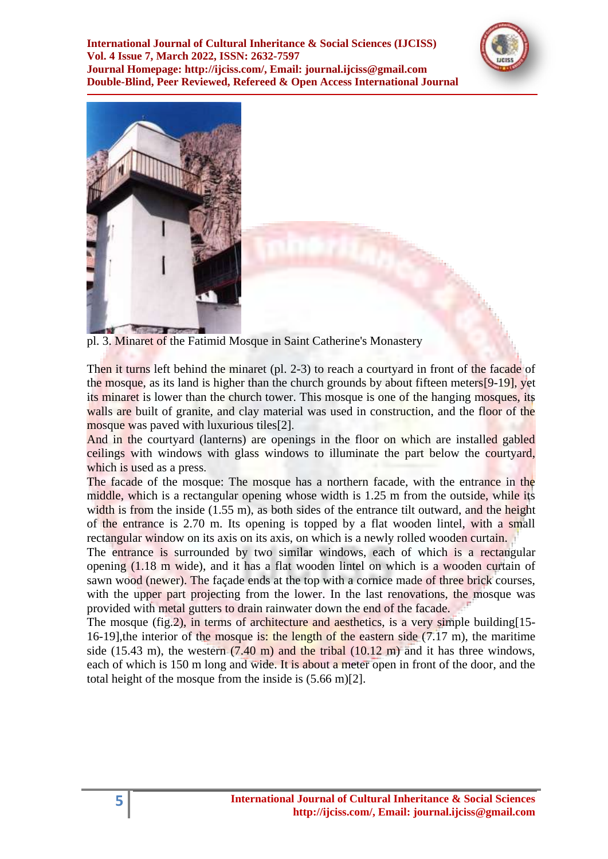



pl. 3. Minaret of the Fatimid Mosque in Saint Catherine's Monastery

Then it turns left behind the minaret (pl. 2-3) to reach a courtyard in front of the facade of the mosque, as its land is higher than the church grounds by about fifteen meters[9-19], yet its minaret is lower than the church tower. This mosque is one of the hanging mosques, its walls are built of granite, and clay material was used in construction, and the floor of the mosque was paved with luxurious tiles[2].

And in the courtyard (lanterns) are openings in the floor on which are installed gabled ceilings with windows with glass windows to illuminate the part below the courtyard, which is used as a press.

The facade of the mosque: The mosque has a northern facade, with the entrance in the middle, which is a rectangular opening whose width is 1.25 m from the outside, while its width is from the inside  $(1.55 \text{ m})$ , as both sides of the entrance tilt outward, and the height of the entrance is 2.70 m. Its opening is topped by a flat wooden lintel, with a small rectangular window on its axis on its axis, on which is a newly rolled wooden curtain.

The entrance is surrounded by two similar windows, each of which is a rectangular opening (1.18 m wide), and it has a flat wooden lintel on which is a wooden curtain of sawn wood (newer). The façade ends at the top with a cornice made of three brick courses, with the upper part projecting from the lower. In the last renovations, the mosque was provided with metal gutters to drain rainwater down the end of the facade.

The mosque (fig.2), in terms of architecture and aesthetics, is a very simple building [15-16-19],the interior of the mosque is: the length of the eastern side (7.17 m), the maritime side (15.43 m), the western  $(7.40 \text{ m})$  and the tribal  $(10.12 \text{ m})$  and it has three windows, each of which is 150 m long and wide. It is about a meter open in front of the door, and the total height of the mosque from the inside is (5.66 m)[2].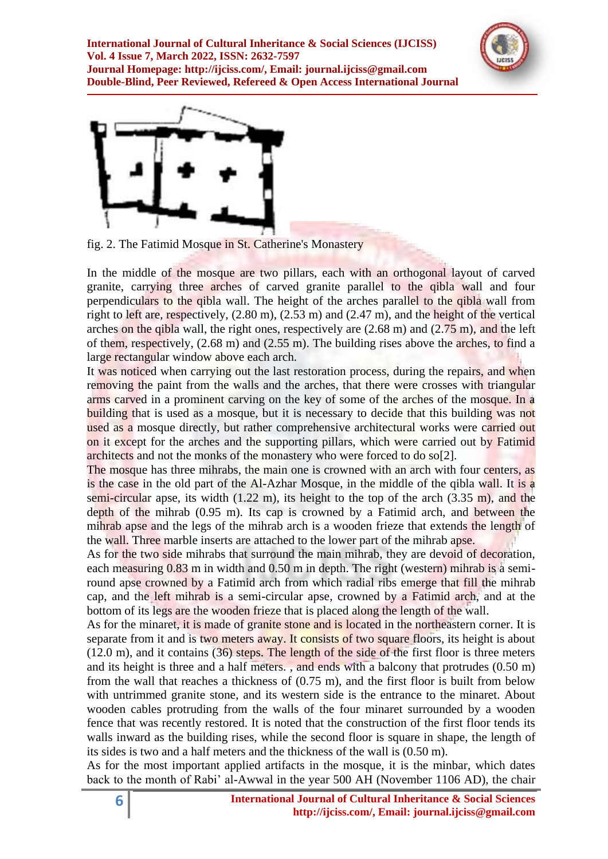



fig. 2. The Fatimid Mosque in St. Catherine's Monastery

In the middle of the mosque are two pillars, each with an orthogonal layout of carved granite, carrying three arches of carved granite parallel to the qibla wall and four perpendiculars to the qibla wall. The height of the arches parallel to the qibla wall from right to left are, respectively, (2.80 m), (2.53 m) and (2.47 m), and the height of the vertical arches on the qibla wall, the right ones, respectively are  $(2.68 \text{ m})$  and  $(2.75 \text{ m})$ , and the left of them, respectively, (2.68 m) and (2.55 m). The building rises above the arches, to find a large rectangular window above each arch.

It was noticed when carrying out the last restoration process, during the repairs, and when removing the paint from the walls and the arches, that there were crosses with triangular arms carved in a prominent carving on the key of some of the arches of the mosque. In a building that is used as a mosque, but it is necessary to decide that this building was not used as a mosque directly, but rather comprehensive architectural works were carried out on it except for the arches and the supporting pillars, which were carried out by Fatimid architects and not the monks of the monastery who were forced to do so[2].

The mosque has three mihrabs, the main one is crowned with an arch with four centers, as is the case in the old part of the Al-Azhar Mosque, in the middle of the qibla wall. It is a semi-circular apse, its width (1.22 m), its height to the top of the arch (3.35 m), and the depth of the mihrab (0.95 m). Its cap is crowned by a Fatimid arch, and between the mihrab apse and the legs of the mihrab arch is a wooden frieze that extends the length of the wall. Three marble inserts are attached to the lower part of the mihrab apse.

As for the two side mihrabs that surround the main mihrab, they are devoid of decoration, each measuring 0.83 m in width and 0.50 m in depth. The right (western) mihrab is a semiround apse crowned by a Fatimid arch from which radial ribs emerge that fill the mihrab cap, and the left mihrab is a semi-circular apse, crowned by a Fatimid arch, and at the bottom of its legs are the wooden frieze that is placed along the length of the wall.

As for the minaret, it is made of granite stone and is located in the northeastern corner. It is separate from it and is two meters away. It consists of two square floors, its height is about (12.0 m), and it contains (36) steps. The length of the side of the first floor is three meters and its height is three and a half meters. , and ends with a balcony that protrudes (0.50 m) from the wall that reaches a thickness of (0.75 m), and the first floor is built from below with untrimmed granite stone, and its western side is the entrance to the minaret. About wooden cables protruding from the walls of the four minaret surrounded by a wooden fence that was recently restored. It is noted that the construction of the first floor tends its walls inward as the building rises, while the second floor is square in shape, the length of its sides is two and a half meters and the thickness of the wall is (0.50 m).

As for the most important applied artifacts in the mosque, it is the minbar, which dates back to the month of Rabi" al-Awwal in the year 500 AH (November 1106 AD), the chair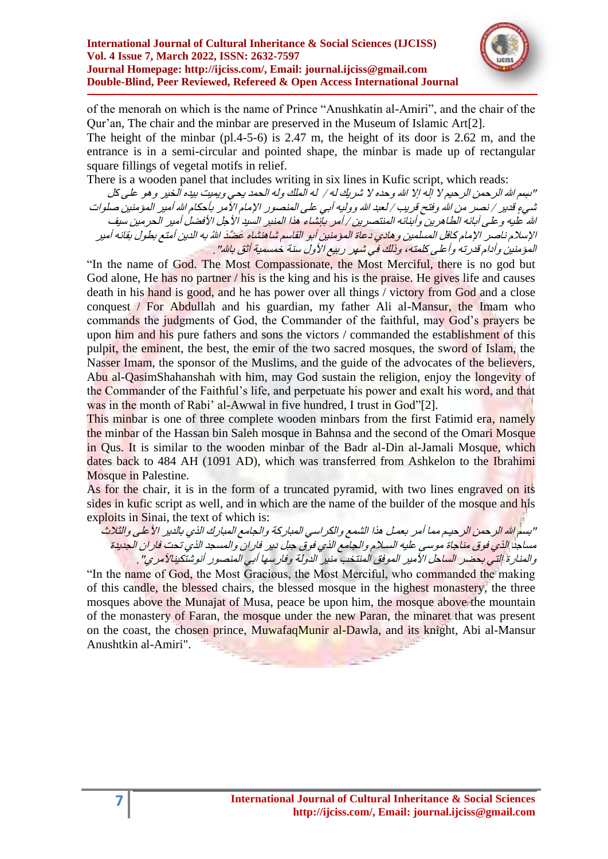

of the menorah on which is the name of Prince "Anushkatin al-Amiri", and the chair of the Qur"an, The chair and the minbar are preserved in the Museum of Islamic Art[2].

The height of the minbar (pl.4-5-6) is 2.47 m, the height of its door is 2.62 m, and the entrance is in a semi-circular and pointed shape, the minbar is made up of rectangular square fillings of vegetal motifs in relief.

There is a wooden panel that includes writing in six lines in Kufic script, which reads:

"بسِم الله الرحمن الرحيم لا إله إلا الله وحده لا شريك له / له الملك وله الحمد بحي ويميت بيده الخير وهو على كل شيءٍ قدير / نصـر من الله وفتح قريب / لعبد الله ووليه أبـي علـي المنصور الإمام الآمر بأحكام الله أمير المؤمنين صلوات الله عليه وعلى آبائه الطاهرين وأبنائه المنتصرين / أمر بإنشاء هذا المنبر السيد الأجل الأفضل أمير الحر مين سيف الإسلام ناصير الإمام كافل المسلمين وهادي دعاة المؤمنين أبو القاسم شاهنشاه عَضَدَ اللهُ به الدين أمتع بطول بقائه أمير المؤمنين وأدام قدرته وأعلى كلمته، و<mark>ذلك في ش</mark>هر ربيع الأول سنة خمسمية أثق باشا" .

"In the name of God. The Most Compassionate, the Most Merciful, there is no god but God alone, He has no partner / his is the king and his is the praise. He gives life and causes death in his hand is good, and he has power over all things / victory from God and a close conquest / For Abdullah and his guardian, my father Ali al-Mansur, the Imam who commands the judgments of God, the Commander of the faithful, may God"s prayers be upon him and his pure fathers and sons the victors / commanded the establishment of this pulpit, the eminent, the best, the emir of the two sacred mosques, the sword of Islam, the Nasser Imam, the sponsor of the Muslims, and the guide of the advocates of the believers, Abu al-QasimShahanshah with him, may God sustain the religion, enjoy the longevity of the Commander of the Faithful"s life, and perpetuate his power and exalt his word, and that was in the month of Rabi' al-Awwal in five hundred, I trust in God"[2].

This minbar is one of three complete wooden minbars from the first Fatimid era, namely the minbar of the Hassan bin Saleh mosque in Bahnsa and the second of the Omari Mosque in Qus. It is similar to the wooden minbar of the Badr al-Din al-Jamali Mosque, which dates back to 484 AH (1091 AD), which was transferred from Ashkelon to the Ibrahimi Mosque in Palestine.

As for the chair, it is in the form of a truncated pyramid, with two lines engraved on its sides in kufic script as well, and in which are the name of the builder of the mosque and his exploits in Sinai, the text of which is:

"بسم الله الر حمن الر حيـم مما أمر بعمـل هذا الشمع والكر اسي المبار كة والجامع المبارك الذي بالدير الأ علي والثلاث مساجد <mark>الذي فوق مناجاة موسى عليه السـلام والجامع الذي فوق جبل دير. فار ان والمسجد الذي تحت فار ان الجديدة</mark> والمنارة التي بحضر الساحل الأمير الموفق المنتخب منير الدولة وفارسها أبي المنصور أنوشتكينالآمريٍ" .

"In the name of God, the Most Gracious, the Most Merciful, who commanded the making of this candle, the blessed chairs, the blessed mosque in the highest monastery, the three mosques above the Munajat of Musa, peace be upon him, the mosque above the mountain of the monastery of Faran, the mosque under the new Paran, the minaret that was present on the coast, the chosen prince, MuwafaqMunir al-Dawla, and its knight, Abi al-Mansur Anushtkin al-Amiri".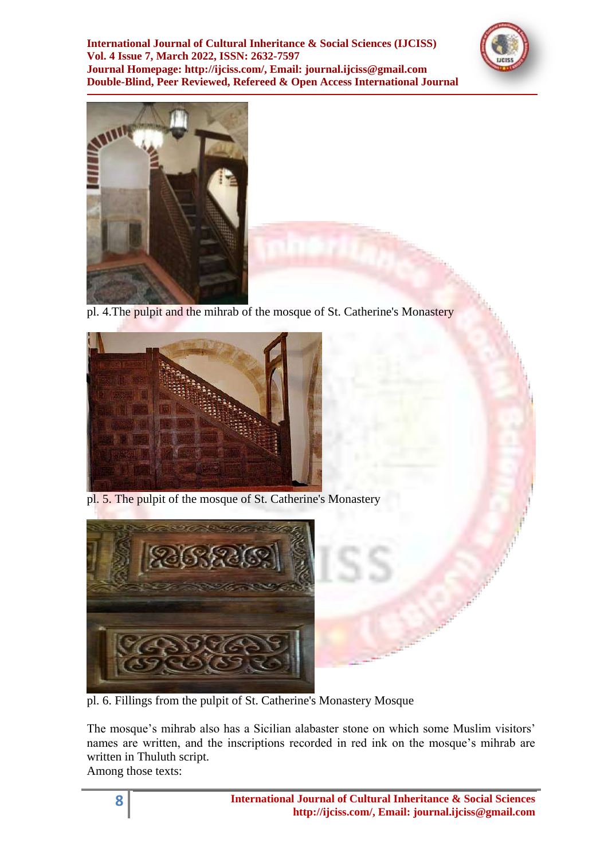



pl. 4.The pulpit and the mihrab of the mosque of St. Catherine's Monastery



pl. 5. The pulpit of the mosque of St. Catherine's Monastery



pl. 6. Fillings from the pulpit of St. Catherine's Monastery Mosque

The mosque's mihrab also has a Sicilian alabaster stone on which some Muslim visitors' names are written, and the inscriptions recorded in red ink on the mosque's mihrab are written in Thuluth script.

Among those texts: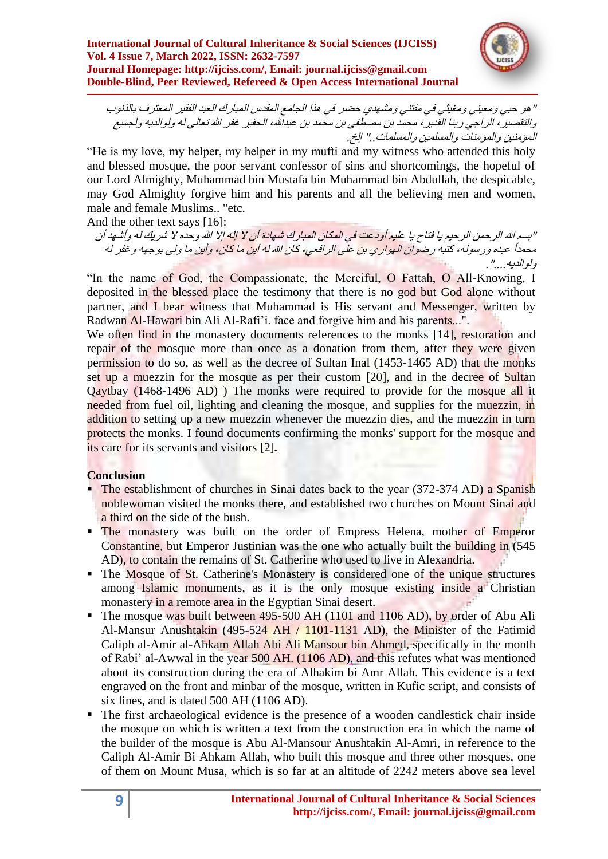

" هو حبي ومعيني ومغيثي في مفتني ومشهدي حضر في هذا الجامع المقدس المبارك العبد الفقير المعترف بالذنوب والتقصيرِ ، الراجيِ ربنا القَدير ، محمد بن مصطفى بن محمد بن عبدالله، الحقير غفر الله تعالى له ولوالديه ولجميع المؤمنين والمؤمنات والمسلمين والمسلمات." إلخ.

"He is my love, my helper, my helper in my mufti and my witness who attended this holy and blessed mosque, the poor servant confessor of sins and shortcomings, the hopeful of our Lord Almighty, Muhammad bin Mustafa bin Muhammad bin Abdullah, the despicable, may God Almighty forgive him and his parents and all the believing men and women, male and female Muslims.. "etc.

And the other text says [16]:

"بسم الله الرحمن الرحيم يا فتاح يا عليم أودعت في المكان المبارك شهادة أن لا إله إلا الله وحده لا شريك له وأشهد أن محمداً، عبده ورسوله، كتبه رضوان الهواري بن علَّى الرافعي، كان الله له أبن ما كان، وأبن ما ولى بوجهه وغفر له ولوالدبه "

"In the name of God, the Compassionate, the Merciful, O Fattah, O All-Knowing, I deposited in the blessed place the testimony that there is no god but God alone without partner, and I bear witness that Muhammad is His servant and Messenger, written by Radwan Al-Hawari bin Ali Al-Rafi"i. face and forgive him and his parents...".

We often find in the monastery documents references to the monks [14], restoration and repair of the mosque more than once as a donation from them, after they were given permission to do so, as well as the decree of Sultan Inal (1453-1465 AD) that the monks set up a muezzin for the mosque as per their custom [20], and in the decree of Sultan Qaytbay (1468-1496 AD) ) The monks were required to provide for the mosque all it needed from fuel oil, lighting and cleaning the mosque, and supplies for the muezzin, in addition to setting up a new muezzin whenever the muezzin dies, and the muezzin in turn protects the monks. I found documents confirming the monks' support for the mosque and its care for its servants and visitors [2]**.**

# **Conclusion**

- The establishment of churches in Sinai dates back to the year (372-374 AD) a Spanish noblewoman visited the monks there, and established two churches on Mount Sinai and a third on the side of the bush.
- The monastery was built on the order of Empress Helena, mother of Emperor Constantine, but Emperor Justinian was the one who actually built the building in (545 AD), to contain the remains of St. Catherine who used to live in Alexandria.
- The Mosque of St. Catherine's Monastery is considered one of the unique structures among Islamic monuments, as it is the only mosque existing inside a Christian monastery in a remote area in the Egyptian Sinai desert.
- The mosque was built between 495-500 AH (1101 and 1106 AD), by order of Abu Ali Al-Mansur Anushtakin (495-524 AH / 1101-1131 AD), the Minister of the Fatimid Caliph al-Amir al-Ahkam Allah Abi Ali Mansour bin Ahmed, specifically in the month of Rabi" al-Awwal in the year 500 AH. (1106 AD), and this refutes what was mentioned about its construction during the era of Alhakim bi Amr Allah. This evidence is a text engraved on the front and minbar of the mosque, written in Kufic script, and consists of six lines, and is dated 500 AH (1106 AD).
- The first archaeological evidence is the presence of a wooden candlestick chair inside the mosque on which is written a text from the construction era in which the name of the builder of the mosque is Abu Al-Mansour Anushtakin Al-Amri, in reference to the Caliph Al-Amir Bi Ahkam Allah, who built this mosque and three other mosques, one of them on Mount Musa, which is so far at an altitude of 2242 meters above sea level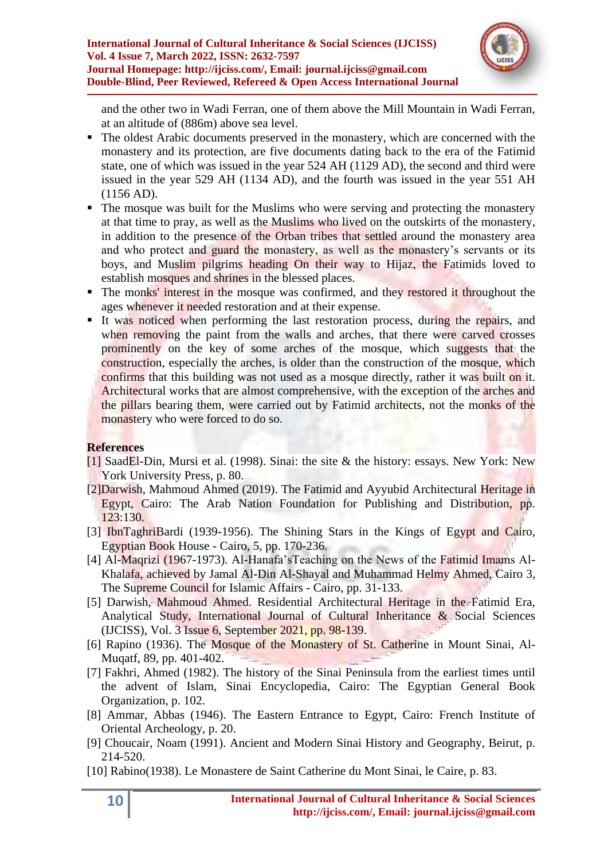

and the other two in Wadi Ferran, one of them above the Mill Mountain in Wadi Ferran, at an altitude of (886m) above sea level.

- The oldest Arabic documents preserved in the monastery, which are concerned with the monastery and its protection, are five documents dating back to the era of the Fatimid state, one of which was issued in the year 524 AH (1129 AD), the second and third were issued in the year 529 AH (1134 AD), and the fourth was issued in the year 551 AH (1156 AD).
- The mosque was built for the Muslims who were serving and protecting the monastery at that time to pray, as well as the Muslims who lived on the outskirts of the monastery, in addition to the presence of the Orban tribes that settled around the monastery area and who protect and guard the monastery, as well as the monastery's servants or its boys, and Muslim pilgrims heading On their way to Hijaz, the Fatimids loved to establish mosques and shrines in the blessed places.
- The monks' interest in the mosque was confirmed, and they restored it throughout the ages whenever it needed restoration and at their expense.
- It was noticed when performing the last restoration process, during the repairs, and when removing the paint from the walls and arches, that there were carved crosses prominently on the key of some arches of the mosque, which suggests that the construction, especially the arches, is older than the construction of the mosque, which confirms that this building was not used as a mosque directly, rather it was built on it. Architectural works that are almost comprehensive, with the exception of the arches and the pillars bearing them, were carried out by Fatimid architects, not the monks of the monastery who were forced to do so.

# **References**

- [1] SaadEl-Din, Mursi et al. (1998). Sinai: the site & the history: essays. New York: New York University Press, p. 80.
- [2]Darwish, Mahmoud Ahmed (2019). The Fatimid and Ayyubid Architectural Heritage in Egypt, Cairo: The Arab Nation Foundation for Publishing and Distribution, pp. 123:130.
- [3] IbnTaghriBardi (1939-1956). The Shining Stars in the Kings of Egypt and Cairo, Egyptian Book House - Cairo, 5, pp. 170-236.
- [4] Al-Maqrizi (1967-1973). Al-Hanafa"sTeaching on the News of the Fatimid Imams Al-Khalafa, achieved by Jamal Al-Din Al-Shayal and Muhammad Helmy Ahmed, Cairo 3, The Supreme Council for Islamic Affairs - Cairo, pp. 31-133.
- [5] Darwish, Mahmoud Ahmed. Residential Architectural Heritage in the Fatimid Era, Analytical Study, International Journal of Cultural Inheritance & Social Sciences (IJCISS), Vol. 3 Issue 6, September 2021, pp. 98-139.
- [6] Rapino (1936). The Mosque of the Monastery of St. Catherine in Mount Sinai, Al-Muqatf, 89, pp. 401-402.
- [7] Fakhri, Ahmed (1982). The history of the Sinai Peninsula from the earliest times until the advent of Islam, Sinai Encyclopedia, Cairo: The Egyptian General Book Organization, p. 102.
- [8] Ammar, Abbas (1946). The Eastern Entrance to Egypt, Cairo: French Institute of Oriental Archeology, p. 20.
- [9] Choucair, Noam (1991). Ancient and Modern Sinai History and Geography, Beirut, p. 214-520.
- [10] Rabino(1938). Le Monastere de Saint Catherine du Mont Sinai, le Caire, p. 83.